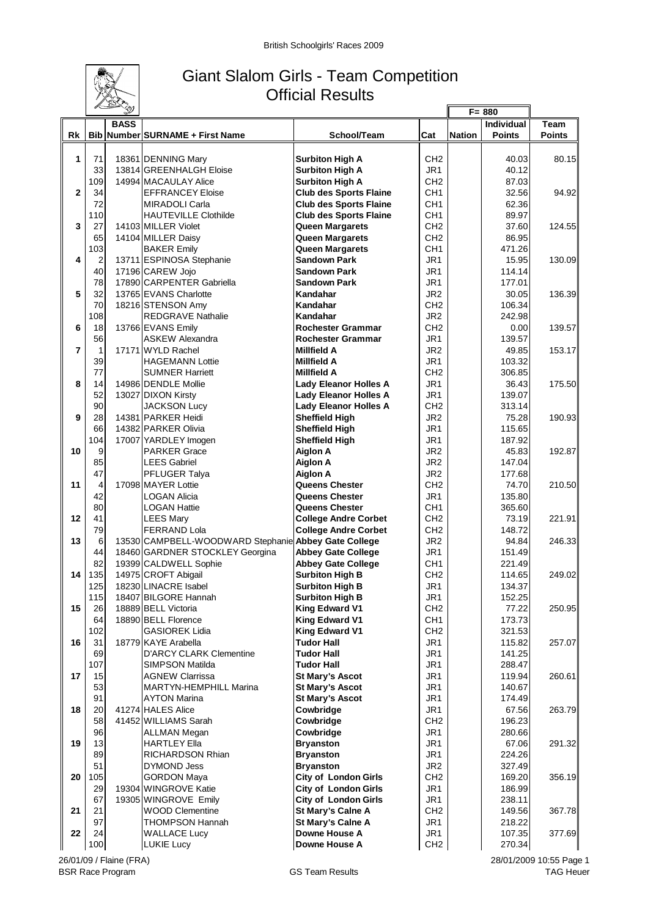

## Giant Slalom Girls - Team Competition Official Results  $\mathbb{F}$

|                |                | 1 D. Y      |                                                      |                               | $F = 880$       |               |                   |               |
|----------------|----------------|-------------|------------------------------------------------------|-------------------------------|-----------------|---------------|-------------------|---------------|
|                |                | <b>BASS</b> |                                                      |                               |                 |               | <b>Individual</b> | <b>Team</b>   |
| Rk             |                |             | Bib Number SURNAME + First Name                      | School/Team                   | Cat             | <b>Nation</b> | <b>Points</b>     | <b>Points</b> |
|                |                |             |                                                      |                               |                 |               |                   |               |
| 1              | 71             |             | 18361 DENNING Mary                                   | <b>Surbiton High A</b>        | CH <sub>2</sub> |               | 40.03             | 80.15         |
|                | 33             |             | 13814 GREENHALGH Eloise                              | <b>Surbiton High A</b>        | JR <sub>1</sub> |               | 40.12             |               |
|                | 109            |             | 14994 MACAULAY Alice                                 | <b>Surbiton High A</b>        | CH <sub>2</sub> |               | 87.03             |               |
| $\overline{2}$ | 34             |             | <b>EFFRANCEY Eloise</b>                              | <b>Club des Sports Flaine</b> | CH <sub>1</sub> |               | 32.56             | 94.92         |
|                | 72             |             | <b>MIRADOLI Carla</b>                                | <b>Club des Sports Flaine</b> | CH <sub>1</sub> |               | 62.36             |               |
|                | 110            |             | <b>HAUTEVILLE Clothilde</b>                          | <b>Club des Sports Flaine</b> | CH <sub>1</sub> |               | 89.97             |               |
| 3              | 27             |             | 14103 MILLER Violet                                  | <b>Queen Margarets</b>        | CH <sub>2</sub> |               | 37.60             | 124.55        |
|                | 65             |             | 14104 MILLER Daisy                                   | Queen Margarets               | CH <sub>2</sub> |               | 86.95             |               |
|                | 103            |             | <b>BAKER Emily</b>                                   | Queen Margarets               | CH <sub>1</sub> |               | 471.26            |               |
| 4              | $\overline{2}$ |             | 13711 ESPINOSA Stephanie                             | <b>Sandown Park</b>           | JR <sub>1</sub> |               | 15.95             | 130.09        |
|                | 40             |             | 17196 CAREW Jojo                                     | <b>Sandown Park</b>           | JR <sub>1</sub> |               | 114.14            |               |
|                | 78             |             | 17890 CARPENTER Gabriella                            | <b>Sandown Park</b>           | JR <sub>1</sub> |               | 177.01            |               |
| 5              | 32             |             | 13765 EVANS Charlotte                                | Kandahar                      | JR <sub>2</sub> |               | 30.05             | 136.39        |
|                | 70             |             | 18216 STENSON Amy                                    | Kandahar                      | CH <sub>2</sub> |               | 106.34            |               |
|                | 108            |             | <b>REDGRAVE Nathalie</b>                             | Kandahar                      | JR <sub>2</sub> |               | 242.98            |               |
| 6              | 18             |             | 13766 EVANS Emily                                    | <b>Rochester Grammar</b>      | CH <sub>2</sub> |               | 0.00              | 139.57        |
|                | 56             |             | <b>ASKEW Alexandra</b>                               | <b>Rochester Grammar</b>      | JR <sub>1</sub> |               | 139.57            |               |
| $\overline{7}$ | $\mathbf{1}$   |             | 17171 WYLD Rachel                                    | <b>Millfield A</b>            | JR <sub>2</sub> |               | 49.85             | 153.17        |
|                | 39             |             | <b>HAGEMANN Lottie</b>                               | <b>Millfield A</b>            | JR <sub>1</sub> |               | 103.32            |               |
|                | 77             |             | <b>SUMNER Harriett</b>                               | <b>Millfield A</b>            | CH <sub>2</sub> |               | 306.85            |               |
| 8              | 14             |             | 14986 DENDLE Mollie                                  | <b>Lady Eleanor Holles A</b>  | JR <sub>1</sub> |               | 36.43             | 175.50        |
|                | 52             |             | 13027 DIXON Kirsty                                   | <b>Lady Eleanor Holles A</b>  | JR <sub>1</sub> |               | 139.07            |               |
|                | 90             |             | <b>JACKSON Lucy</b>                                  | <b>Lady Eleanor Holles A</b>  | CH <sub>2</sub> |               | 313.14            |               |
| 9              | 28             |             | 14381 PARKER Heidi                                   | <b>Sheffield High</b>         | JR <sub>2</sub> |               | 75.28             | 190.93        |
|                | 66             |             | 14382 PARKER Olivia                                  | <b>Sheffield High</b>         | JR <sub>1</sub> |               | 115.65            |               |
|                | 104            |             | 17007 YARDLEY Imogen                                 | <b>Sheffield High</b>         | JR <sub>1</sub> |               | 187.92            |               |
| 10             | 9              |             | <b>PARKER Grace</b>                                  | <b>Aiglon A</b>               | JR <sub>2</sub> |               | 45.83             | 192.87        |
|                | 85             |             | <b>LEES Gabriel</b>                                  | <b>Aiglon A</b>               | JR <sub>2</sub> |               | 147.04            |               |
|                | 47             |             | <b>PFLUGER Talya</b>                                 | <b>Aiglon A</b>               | JR <sub>2</sub> |               | 177.68            |               |
| 11             | $\overline{4}$ |             | 17098 MAYER Lottie                                   | Queens Chester                | CH <sub>2</sub> |               | 74.70             | 210.50        |
|                | 42             |             | LOGAN Alicia                                         | <b>Queens Chester</b>         | JR <sub>1</sub> |               | 135.80            |               |
|                | 80             |             | <b>LOGAN Hattie</b>                                  | <b>Queens Chester</b>         | CH <sub>1</sub> |               | 365.60            |               |
| 12             | 41             |             | <b>LEES Mary</b>                                     | <b>College Andre Corbet</b>   | CH <sub>2</sub> |               | 73.19             | 221.91        |
|                | 79             |             | <b>FERRAND Lola</b>                                  | <b>College Andre Corbet</b>   | CH <sub>2</sub> |               | 148.72            |               |
| 13             | 6              |             | 13530 CAMPBELL-WOODWARD Stephanie Abbey Gate College |                               | JR <sub>2</sub> |               | 94.84             | 246.33        |
|                | 44             |             | 18460 GARDNER STOCKLEY Georgina                      | <b>Abbey Gate College</b>     | JR <sub>1</sub> |               | 151.49            |               |
|                | 82             |             | 19399 CALDWELL Sophie                                | <b>Abbey Gate College</b>     | CH <sub>1</sub> |               | 221.49            |               |
| 14             | 135            |             | 14975 CROFT Abigail                                  | <b>Surbiton High B</b>        | CH <sub>2</sub> |               | 114.65            | 249.02        |
|                | 125            |             | 18230 LINACRE Isabel                                 | <b>Surbiton High B</b>        | JR <sub>1</sub> |               | 134.37            |               |
|                | 115            |             | 18407 BILGORE Hannah                                 | <b>Surbiton High B</b>        | JR1             |               | 152.25            |               |
| 15             | 26             |             | 18889 BELL Victoria                                  | <b>King Edward V1</b>         | CH <sub>2</sub> |               | 77.22             | 250.95        |
|                | 64             |             | 18890 BELL Florence                                  | King Edward V1                | CH <sub>1</sub> |               | 173.73            |               |
|                | 102            |             | <b>GASIOREK Lidia</b>                                | <b>King Edward V1</b>         | CH <sub>2</sub> |               | 321.53            |               |
| 16             | 31             |             | 18779 KAYE Arabella                                  | <b>Tudor Hall</b>             | JR <sub>1</sub> |               | 115.82            | 257.07        |
|                | 69             |             | <b>D'ARCY CLARK Clementine</b>                       | Tudor Hall                    | JR <sub>1</sub> |               | 141.25            |               |
|                | 107            |             | SIMPSON Matilda                                      | Tudor Hall                    | JR <sub>1</sub> |               | 288.47            |               |
| 17             | 15             |             | <b>AGNEW Clarrissa</b>                               | <b>St Mary's Ascot</b>        | JR <sub>1</sub> |               | 119.94            | 260.61        |
|                | 53             |             | <b>MARTYN-HEMPHILL Marina</b>                        | <b>St Mary's Ascot</b>        | JR <sub>1</sub> |               | 140.67            |               |
|                | 91             |             | AYTON Marina                                         | <b>St Mary's Ascot</b>        | JR <sub>1</sub> |               | 174.49            |               |
| 18             | 20             |             | 41274 HALES Alice                                    | Cowbridge                     | JR <sub>1</sub> |               | 67.56             | 263.79        |
|                | 58             |             | 41452 WILLIAMS Sarah                                 | Cowbridge                     | CH <sub>2</sub> |               | 196.23            |               |
|                | 96             |             | ALLMAN Megan                                         | Cowbridge                     | JR <sub>1</sub> |               | 280.66            |               |
| 19             | 13             |             | <b>HARTLEY Ella</b>                                  | <b>Bryanston</b>              | JR <sub>1</sub> |               | 67.06             | 291.32        |
|                | 89             |             | RICHARDSON Rhian                                     | <b>Bryanston</b>              | JR <sub>1</sub> |               | 224.26            |               |
|                | 51             |             | DYMOND Jess                                          | <b>Bryanston</b>              | JR <sub>2</sub> |               | 327.49            |               |
| 20             | 105            |             | <b>GORDON Maya</b>                                   | <b>City of London Girls</b>   | CH <sub>2</sub> |               | 169.20            | 356.19        |
|                | 29             |             | 19304 WINGROVE Katie                                 | <b>City of London Girls</b>   | JR <sub>1</sub> |               | 186.99            |               |
|                | 67             |             | 19305 WINGROVE Emily                                 | <b>City of London Girls</b>   | JR <sub>1</sub> |               | 238.11            |               |
| 21             | 21             |             | <b>WOOD Clementine</b>                               | St Mary's Calne A             | CH <sub>2</sub> |               | 149.56            | 367.78        |
|                | 97             |             | THOMPSON Hannah                                      | St Mary's Calne A             | JR <sub>1</sub> |               | 218.22            |               |
| 22             | 24             |             | <b>WALLACE Lucy</b>                                  | Downe House A                 | JR <sub>1</sub> |               | 107.35            | 377.69        |
|                | 100            |             | LUKIE Lucy                                           | Downe House A                 | CH2             |               | 270.34            |               |